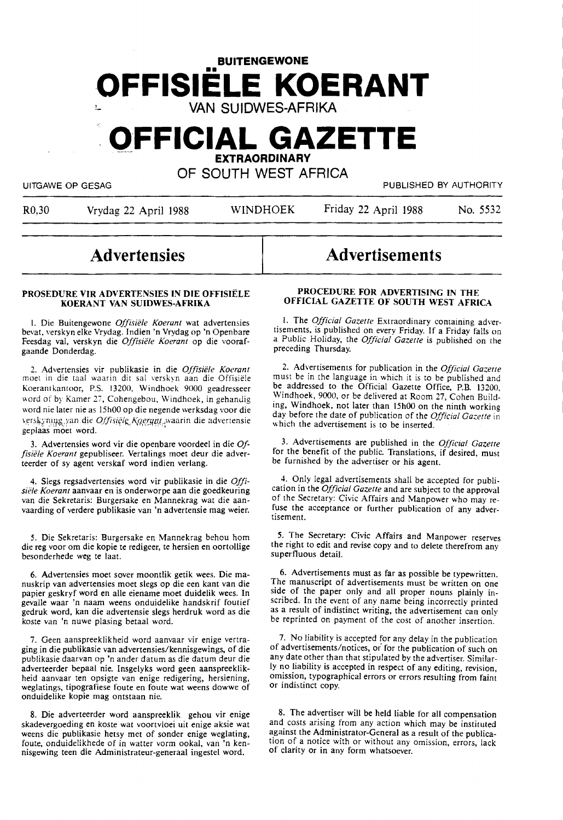# **BUITENGEWONE -OFFISIELE KOERANT VAN SUIDWES-AFRIKA**

# **OFFICIAL GAZETTE EXTRAORDINARY**

OF SOUTH WEST AFRICA

UITGAWE OP GESAG PUBLISHED BY AUTHORITY

R0,30 Vrydag 22 April 1988 WINDHOEK Friday 22 April 1988 No. 5532

**Advertisements** 

# **Advertensies**

### **PROSEDURE VIR ADVERTENSIES IN DIE OFFISIELE KOERANT VAN SUIDWES-AFRIKA**

I. Die Buitengewone *Offisiele Koerant* wat advertensies bevat, verskyn elke Vrydag. Indien 'n Vrydag op 'n Openbare Feesdag val, verskyn die *Offisiele Koerant* op die voorafgaande Donderdag.

2. Advertensies vir publikasie in die *Offisiiile Koerant*  moet in die taal waarin dit sal verskyn aan die Offisiele Koerantkantoor, P.S. 13200, Windhoek 9000 geadresseer word of by Kamer 27, Cohengebou, Windhoek, in gehandig word nie later nie as 15h00 op die negende werksdag voor die verskyning van die *Offisiële Koerant* waarin die advertensie geplaas moet word.

3. Advertensies word vir die openbare voordeel in die *Offisiele Koerant* gepubliseer. Vertalings moet deur die adverteerder of sy agent verskaf word indien verlang.

4. Slegs regsadvertensies word vir publikasie in die *Offisiele Koeranr* aanvaar en is onderworpe aan die goedkeuring van die Sekretaris: Burgersake en Mannekrag wat die aanvaarding of verdere publikasie van 'n advertensie mag weier.

5. Die Sekretaris: Burgersake en Mannekrag behou horn die reg voor om die kopie te redigeer, te hersien en oortollige besonderhede weg te laat.

6. Advertensies moet sover moontlik getik wees. Die manuskrip van advertensies moet slegs op die een kant van die papier geskryf word en alle eiename moet duidelik wees. In gevalle waar 'n naam weens onduidelike handskrif foutief gedruk word, kan die advertensie slegs herdruk word as die koste van 'n nuwe plasing betaal word.

7. Geen aanspreeklikheid word aanvaar vir enige vertraging in die publikasie van advertensies/kennisgewings, of die publikasie daarvan op 'n ander datum as die datum deur die adverteerder bepaal nie. lnsgelyks word geen aanspreeklikheid aanvaar ten opsigte van enige redigering, hersiening, weglatings, tipografiese foute en foute wat weens dowwe of onduidelike kopie mag ontstaan nie.

8. Die adverteerder word aanspreeklik gehou vir enige skadevergoeding en koste wat voortvloei uit enige aksie wat weens die publikasie hetsy met of sonder enige weglating, foute, onduidelikhede of in watter vorm ookal, van 'n kennisgewing teen die Administrateur-generaal ingestel word.

## **PROCEDURE FOR ADVERTISING IN THE OFFICIAL GAZETTE OF SOUTH WEST AFRICA**

1. The *Official Gazette* Extraordinary containing advertisements, is published on every Friday. If a Friday falls on a Public Holiday, the *Official Gazette* is published on the preceding Thursday.

2. Advertisements for publication in the *Official Gazette* must be in the language in which it is to be published and be addressed to the Official Gazette Office, P.B. 13200, Windhoek, 9000, or be delivered at Room 27, Cohen Building, Windhoek, not later than 15h00 on the ninth working day before the date of publication of the *Official Gazette* in which the advertisement is to be inserted.

3. Advertisements are published in the *Official Gazelle*  for the benefit of the public. Translations, if desired, must be furnished by the advertiser or his agent.

4. Only legal advertisements shall be accepted for publication in the *Official Gazelle* and are subject to the approval of the Secretary: Civic Affairs and Manpower who may refuse the acceptance or further publication of any advertisement.

5. The Secretary: Civic Affairs and Manpower reserves the right to edit and revise copy and to delete therefrom any superfluous detail.

6. Advertisements must as far as possible be typewritten. The manuscript of advertisements must be written on one side of the paper only and all proper nouns plainly inscribed. In the event of any name being incorrectly printed as a result of indistinct writing, the advertisement can only be reprinted on payment of the cost of another insertion.

7. No liability is accepted for any delay in the publication of advertisements/notices, *oi* for the publication of such on any date other than that stipulated by the advertiser. Similarly no liability is accepted in respect of any editing, revision, omission, typographical errors or errors resulting from faint or indistinct copy.

8. The advertiser will be held liable for all compensation and costs arising from any action which may be instituted against the Administrator-General as a result of the publication of a notice with or without any omission, errors, lack of clarity or in any form whatsoever.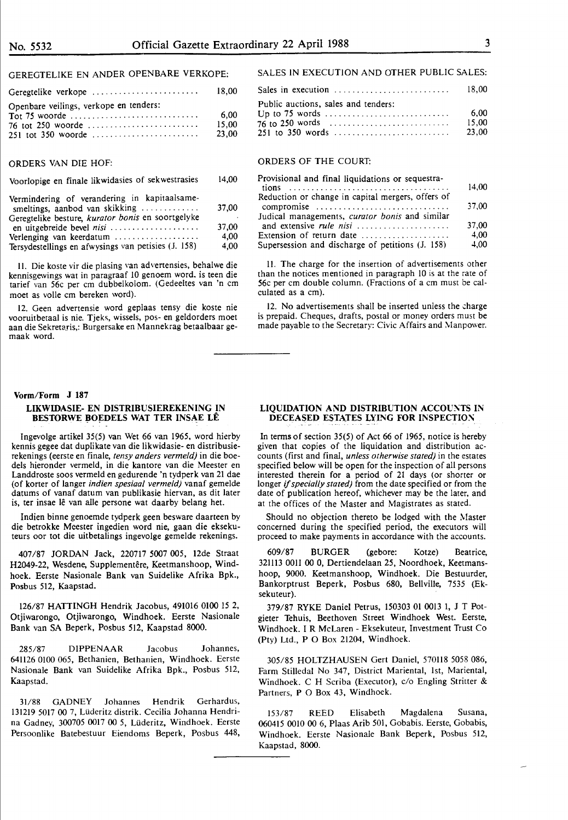## GEREGTELIKE EN ANDER OPENBARE VERKOPE:

| Openbare veilings, verkope en tenders: | 6.00<br>15.00<br>23.00 |
|----------------------------------------|------------------------|

## ORDERS VAN DIE HOF:

Voorlopige en finale likwidasies of sekwestrasies 14,00

| Vermindering of verandering in kapitaalsame-<br>smeltings, aanbod van skikking | 37.00 |
|--------------------------------------------------------------------------------|-------|
| Geregtelike besture, kurator bonis en soortgelyke<br>en uitgebreide bevel nisi | 37.00 |
| Verlenging van keerdatum                                                       | 4.00  |
| Tersydestellings en afwysings van petisies (J. 158)                            | 4,00  |

II. Die koste vir die plasing van advertensies, behalwe die kennisgewings wat in paragraaf 10 genoem word. is teen die tarief van 56c per cm dubbelkolom. (Gedeeltes van 'n cm moet as voile cm bereken word).

12. Geen advertensie word geplaas tensy die koste nie vooruitbetaal is nie. Tjeks, wissels, pos- en geldorders moet aan die Sekretaris,: Burgersake en Mannekrag betaalbaar gemaak word.

#### **Vorm/Form J 187**

#### **LIKWIDASIE- EN DISTRIBUSIEREKENING IN BESTORWE BOEDELS WAT TER INSAE LÊ**

lngevolge artikel 35(5) van Wet 66 van 1965, word hierby kennis gegee dat duplikate van die likwidasie- en distribusierekenings (eerste en finale, *tensy anders vermeld)* in die boedels hieronder vermeld, in die kantore van die Meester en Landdroste soos vermeld en gedurende 'n tydperk van 21 dae (of korter of !anger *indien spesiaal vermeld)* vanaf gemelde datums of vanaf datum van publikasie hiervan, as dit later is, ter insae lê van alle persone wat daarby belang het.

Indien binne genoemde tydperk geen besware daarteen by die betrokke Meester ingedien word nie, gaan die eksekuteurs oor tot die uitbetalings ingevolge gemelde rekenings.

407/87 JORDAN Jack, 220717 5007 005, 12de Straat H2049-22, Wesdene, Supplementêre, Keetmanshoop, Windhoek. Eerste Nasionale Bank van Suidelike Afrika Bpk., Posbus 512, Kaapstad.

126/87 HATTINGH Hendrik Jacobus, 491016 0100 15 2, Otjiwarongo, Otjiwarongo, Windhoek. Eerste Nasionale Bank van SA Beperk, Posbus 512, Kaapstad 8000.

285/87 DIPPENAAR Jacobus Johannes, 641126 0100 065, Bethanien, Bethanien, Windhoek. Eerste Nasionale Bank van Suidelike Afrika Bpk., Posbus 512, Kaapstad.

31/88 GADNEY Johannes Hendrik Gerhardus, 131219 5017 00 7, LUderitz distrik. Cecilia Johanna Hendrina Gadney, 300705 0017 00 5, Lilderitz, Windhoek. Eerste Persoonlike Batebestuur Eiendoms Beperk, Posbus 448,

# SALES IN EXECUTION AND OTHER PUBLIC SALES:

| Sales in execution $\ldots \ldots \ldots \ldots \ldots \ldots \ldots$ 18,00 |                        |
|-----------------------------------------------------------------------------|------------------------|
| Public auctions, sales and tenders:<br>251 to 350 words                     | 6.00<br>15.00<br>23.00 |

## ORDERS OF THE COURT:

| Provisional and final liquidations or sequestra-                     | 14.00 |
|----------------------------------------------------------------------|-------|
|                                                                      |       |
| Reduction or change in capital mergers, offers of                    |       |
| compromise $\ldots \ldots \ldots \ldots \ldots \ldots \ldots \ldots$ | 37,00 |
| Judical managements, curator bonis and similar                       |       |
|                                                                      | 37,00 |
| Extension of return date                                             | 4.00  |
| Supersession and discharge of petitions (J. 158)                     | 4.00  |

11. **The** charge for the insertion of advertisements other than the notices mentioned in paragraph IO is at the rate of 56c per cm double column. (Fractions of a cm must be calculated as a cm).

12. No advertisements shall be inserted unless the charge is prepaid. Cheques, drafts, postal or money orders must be made payable to the Secretary: Civic Affairs and Manpower.

#### **LIQUIDATION AND DISTRIBUTION ACCOUNTS IN DECEASED ESTATES LYING FOR INSPECTION**

In terms of section 35(5) of Act 66 of 1965, notice is hereby given that copies of the liquidation and distribution accounts (first and final, *unless otherwise stated)* in the estates specified below will be open for the inspection of all persons interested therein for a period of 21 days (or shorter or longer if *specially stated)* from the date specified or from the date of publication hereof, whichever may be the later, and at the offices of the Master and Magistrates as stated.

Should no objection thereto be lodged with the Master concerned during the specified period, the executors will proceed to make payments in accordance with the accounts.

609/87 BURGER (gebore: Kotze) Beatrice, 321113 OOII 00 0, Dertiendelaan 25, Noordhoek, Keetmanshoop, 9000. Keetmanshoop, Windhoek. Die Bestuurder, Bankorptrust Beperk, Posbus 680, Bellville, 7535 (Eksekuteur).

379/87 RYKE Daniel Petrus, 150303 01 0013 1, J T Potgieter Tehuis, Beethoven Street Windhoek West. Eerste, Windhoek. I R McLaren - Eksekuteur, Investment Trust Co (Pty) Ltd., P O Box 21204, Windhoek.

305/85 HOLTZHAUSEN Gert Daniel, 570118 5058 086, Farm Stilledal No 347, District Mariental, 1st, Mariental, Windhoek. C H Scriba (Executor), c/o Engling Stritter & Partners, **P** O Box 43, Windhoek.

153/87 REED Elisabeth Magdalena Susana, 060415 0010 00 6, Plaas Arib 501, Gobabis. Eerste, Gobabis, Windhoek. Eerste Nasionale Bank Beperk, Posbus 512, Kaapstad, 8000.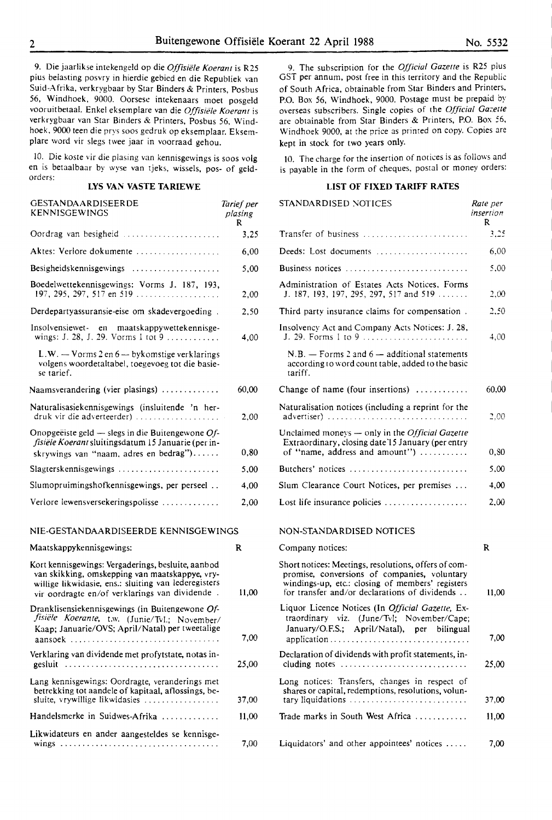9. Die jaarlikse intekengeld op die *Offisiiile Koerant* is R25 plus belasting posvry in hierdie gebied en die Republiek van Suid-Afrika, verkrygbaar by Star Binders & Printers, Posbus 56, Windhoek, 9000. Oorsese intekenaars moet posgeld vooruitbetaal. Enke! eksemplare van die *Offisiele Koerant* is verkrygbaar van Star Binders & Printers, Posbus 56, Windhoek, 9000 teen die prys soos gedruk op eksemplaar. Eksemplare word vir slegs twee jaar in voorraad gehou.

10. Die koste vir die plasing van kennisgewings is soos volg en is betaalbaar by wyse van tjeks, wissels, pos- of geldorders:

# **LYS VAN VASTE TARIEWE**

| GESTANDAARDISEERDE<br>KENNISGEWINGS                                                                                 | Tarief per<br>plasing<br>R |
|---------------------------------------------------------------------------------------------------------------------|----------------------------|
| Oordrag van besigheid                                                                                               | 3.25                       |
| Aktes: Verlore dokumente                                                                                            | 6,00                       |
|                                                                                                                     | 5,00                       |
| Boedelwettekennisgewings: Vorms J. 187, 193,<br>197, 295, 297, 517 en 519                                           | 2,00                       |
| Derdepartyassuransie-eise om skadevergoeding.                                                                       | 2.50                       |
| Insolvensiewet en maatskappywettekennisge-<br>wings: J. 28, J. 29. Vorms 1 tot 9                                    | 4,00                       |
| L.W. $-$ Vorms 2 en 6 $-$ by komstige verklarings<br>volgens woordetaltabel, toegevoeg tot die basie-<br>se tarief. |                            |
| Naamsverandering (vier plasings) $\ldots$                                                                           | 60,00                      |
| Naturalisasiekennisgewings (insluitende 'n her-<br>druk vir die adverteerder)                                       | 2.00                       |
| Onopgeëiste geld — slegs in die Buitengewone $Of$ -<br>fisiële Koerant sluitingsdatum 15 Januarie (per in-          |                            |
| skrywings van "naam, adres en bedrag")                                                                              | 0.80                       |
| $Slagterskenn isgewings \dots \dots \dots \dots \dots \dots \dots \dots$                                            | 5,00                       |
| Slumopruimingshofkennisgewings, per perseel                                                                         | 4,00                       |
| Verlore lewensversekeringspolisse                                                                                   | 2,00                       |

## NIE-GESTANDAARDISEERDE KENNISGEWINGS

Maatskappykennisgewings: Kort kennisgewings: Vergaderings, besluite, aanbod van skikking, omskepping van maatskappye, vrywillige likwidasie, ens.: sluiting van lederegisters vir oordragte en/of verklarings van dividende . Dranklisensiekennisgewings (in Buitengewone Of*fisiele Koerante,* t.w. (Junie/Tvl.; November/ Kaap; Januarie/OVS; April/Natal) per tweetalige aansoek ................................. . Verklaring van dividende met profytstate, notas in-<u>eesluit ..................................</u> Lang kennisgewings: Oordragte, veranderings met betrekking tot aandele of kapitaal, aflossings, besluite, vrywillige likwidasies .................. Handelsmerke in Suidwes-Afrika ............. Likwidateurs en ander aangesteldes se kennisgewings ................................... . R 11,00 7,00 25,00 37,00 11,00 7,00

9. The subscription for the *Official Gazette* is R25 plus GST per annum, post free in this territory and the Republic of South Africa, obtainable from Star Binders and Printers, P.O. Box 56, Windhoek, 9000. Postage must be prepaid by overseas subscribers. Single copies of the *Official Gazelle*  are obtainable from Star Binders & Printers, P.O. Box 56, Windhoek 9000, at the price as primed on copy. Copies are kept in stock for two years only.

IO. The charge for the insertion of notices is as follows and is payable in the form of cheques, postal or money orders:

# **LIST OF FIXED TARIFF RATES**

| STANDARDISED NOTICES                                                                                                                                                                                      | Rate per<br>insertion<br>R |
|-----------------------------------------------------------------------------------------------------------------------------------------------------------------------------------------------------------|----------------------------|
| Transfer of business                                                                                                                                                                                      | 3,25                       |
| Deeds: Lost documents                                                                                                                                                                                     | 6.00                       |
| Business notices                                                                                                                                                                                          | 5.00                       |
| Administration of Estates Acts Notices, Forms<br>J. 187, 193, 197, 295, 297, 517 and 519                                                                                                                  | 2.00                       |
| Third party insurance claims for compensation.                                                                                                                                                            | 2.50                       |
| Insolvency Act and Company Acts Notices: J. 28,<br>J. 29. Forms 1 to 9                                                                                                                                    | 4,00                       |
| $N.B.$ - Forms 2 and 6 - additional statements<br>according to word count table, added to the basic<br>tariff.                                                                                            |                            |
| Change of name (four insertions)                                                                                                                                                                          | 60.00                      |
| Naturalisation notices (including a reprint for the<br>advertiser)                                                                                                                                        | 2.00                       |
| Unclaimed moneys - only in the Official Gazette<br>Extraordinary, closing date 15 January (per entry<br>of "name, address and amount")                                                                    | 0,80                       |
| Butchers' notices                                                                                                                                                                                         | 5.00                       |
| Slum Clearance Court Notices, per premises                                                                                                                                                                | 4.00                       |
| Lost life insurance policies                                                                                                                                                                              | 2.00                       |
| NON-STANDARDISED NOTICES                                                                                                                                                                                  |                            |
| Company notices:                                                                                                                                                                                          | R                          |
| Short notices: Meetings, resolutions, offers of com-<br>promise, conversions of companies, voluntary<br>windings-up, etc.: closing of members' registers<br>for transfer and/or declarations of dividends | 11,00                      |
| Liquor Licence Notices (In Official Gazette, Ex-<br>traordinary viz. (June/Tvl; November/Cape;<br>January/O.F.S.; April/Natal), per bilingual<br>application<br>.                                         | 7.00                       |
| Declaration of dividends with profit statements, in-<br>cluding notes                                                                                                                                     | 25.00                      |
|                                                                                                                                                                                                           |                            |

- Long notices: Transfers, changes in respect of shares or capital, redemptions, resolutions, voluntary liquidations . . . . . . . . . . . . . . . . . . . . . .. . .. . 37 ,00 Trade marks in South West Africa . . . . . . . . . . . . 11,00
- Liquidators' and other appointees' notices ..... 7,00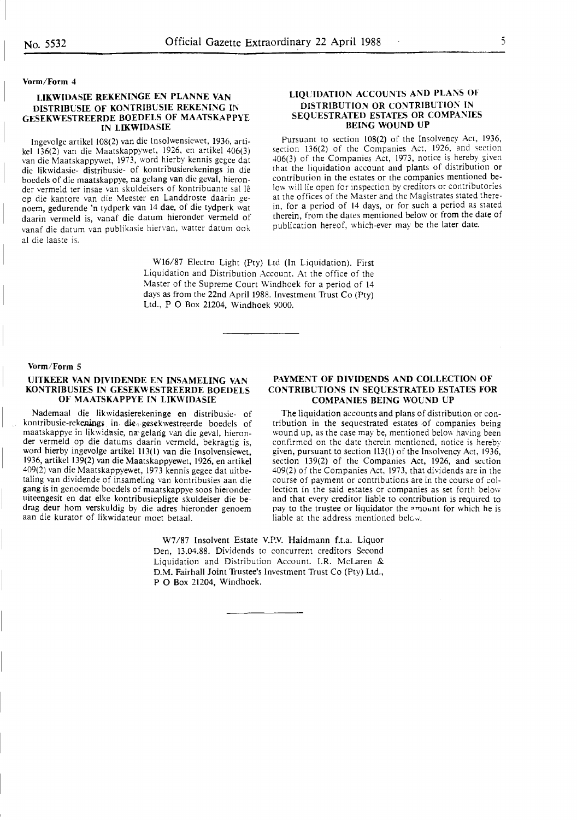#### Vorm/Form 4

#### **LIKWIDASIE REKENINGE EN PLANNE VAN DISTRIBUSIE OF KONTRIBUSIE REKENING IN GESEKWESTREERDE BOEDELS OF MAATSKAPPYE IN LIKWIDASIE**

Ingevolge artikel 108(2) van die Insolwensiewet, 1936, artikel 136(2) van die Maatskappywet, 1926, en artikel 406(3) van die Maatskappywet, 1973, word hierby kennis gegee dat die likwidasie- distribusie- of kontribusierekenings in die boedels of die maatskappye, na gelang van die geval, hieronder vermeld ter insae van skuldeisers of kontribuante sal le op die kantore van die Meester en Landdroste daarin genoem, gedurende 'n tydperk van 14 dae, of die tydperk wat daarin vermeld is, vanaf die datum hieronder vermeld of vanaf die datum van publikasie hiervan, watter datum ook al die laaste is.

#### **LIQUIDATION ACCOUNTS AND PLANS OF DISTRIBUTION OR CONTRIBUTION IN SEQUESTRATED ESTATES OR COMPANIES BEING WOUND UP**

Pursuant to section 108(2) of the Insolvency Act, 1936, section 136(2) of the Companies Act, 1926, and section 406(3) of the Companies Act, 1973, notice is hereby given that the liquidation account and plants of distribution or contribution in the estates or the companies mentioned below will lie open for inspection by creditors or contributories at the offices of the Master and the Magistrates stated therein, for a period of 14 days, or for such a period as stated therein, from the dates mentioned below or from the date of publication hereof, which-ever may be the later date.

W16/87 Electro Light (Pty) Ltd (In Liquidation). First Liquidation and Distribution Account. At the office of the Master of the Supreme Court Windhoek for a period of 14 days as from the 22nd April 1988. Investment Trust Co (Pty) Ltd., P O Box 21204, Windhoek 9000.

#### **Vorm/Form 5**

#### **UITKEER VAN DIVIDENDE EN INSAMELING VAN KONTRIBUSIES IN GESEKWESTREERDE BOEDELS OF MAATSKAPPYE IN LIKWIDASIE**

Nademaal die likwidasierekeninge en distribusie- of kontribusie-rekenings in die<sub>4</sub> gesekwestreerde boedels of maatskappye in likwidasic, na-gelang van die geval, hieronder vermeld op die datums daarin vermeld, bekragtig is, word hierby ingevolge artikel 113(1) van die Insolvensiewet, 1936, artikel 139(2) van die Maatskappyewet, 1926, en artikel 409(2) van die Maatskappyewet, 1973 kennis gegee dat uitbetaling van dividende of insameling van kontribusies aan die gang is in genoemde boedels of maatskappye soos hieronder uiteengesit en dat elke kontribusiepligte skuldeiser die bedrag deur horn verskuldig by die adres hieronder genoem aan die kurator of likwidateur moet betaal.

#### **PAYMENT OF DIVIDENDS AND COLLECTION OF CONTRIBUTIONS IN SEQUESTRATED ESTATES FOR COMPANIES BEING WOUND UP**

The liquidation accounts and plans of distribution or contribution in the sequestrated estates of companies being wound up, as the case may be, mentioned below having been confirmed on the **date** therein mentioned, notice is hereby given, pursuant to section 113(1) of the Insolvency Act, 1936, section 139(2) of the Companies Act, 1926, and section 409(2) of the Companies Act, 1973, that dividends are in the course of payment or contributions are in the course of collection in the said estates or companies as set fonh below and that every creditor liable to contribution is required to pay to the trustee or liquidator the amount for which he is liable at the address mentioned below.

W7/87 Insolvent Estate V.P.V. Haidmann f.t.a. Liquor Den, 13.04.88. Dividends to concurrent creditors Second Liquidation and Distribution Account. I.R. McLaren & D.M. Fairhall Joint Trustee's Investment Trust Co (Pty) Ltd,, P O Box 21204, Windhoek.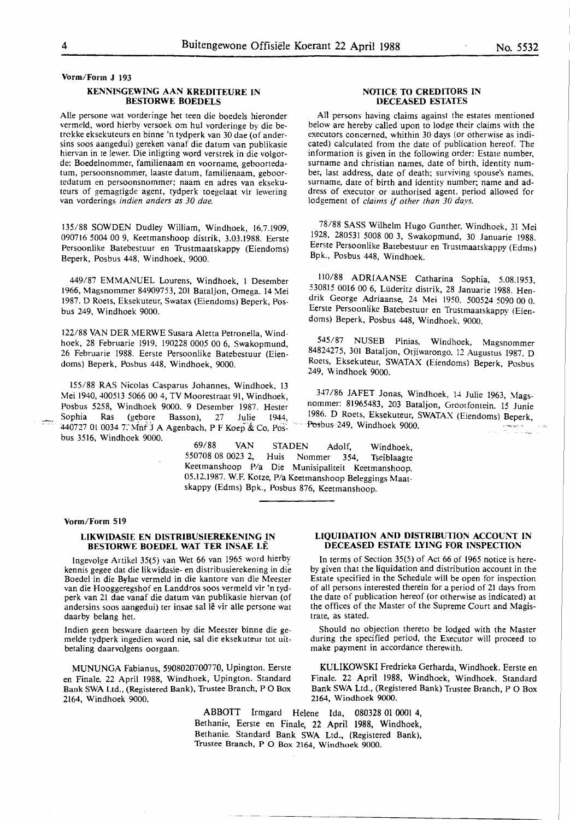**Vorm/Form J 193** 

#### **KENNISGEWING AAN KREDITEURE IN BESTORWE BOEDELS**

Aile persone wat vorderinge het teen die boedels hieronder vermeld, word hierby versoek om hul vorderinge by die betrckke eksekuteurs en binne 'n tydperk van 30 dae (of andersins soos aangedui) gereken vanaf die datum van publikasie hiervan in te lewer. Die inligting word verstrek in die volgorde: Boedelnommer, familienaam en voorname, geboortedatum, persoonsnommer, laaste datum, familienaam, geboortedatum en persoonsnommer; naam en adres van eksekuteurs of gemagtigde agent, tydperk toegelaat vir lewering van vorderings *indien anders as 30 dae.* 

135/88 SOWDEN Dudley William, Windhoek, 16.7.1909, 090716 5004 00 9, Keetmanshoop distrik, 3.03.1988. Eerste Persoonlike Batebestuur en Trustmaatskappy (Eiendoms) Beperk, Posbus 448, Windhoek, 9000.

449/87 EMMANUEL Lourens, Windhoek, 1 Desember 1966, Magsnommer 84909753, 201 Bataljon, Omega. 14 Mei 1987. D Roets, Eksekuteur, Swatax (Eiendoms) Beperk, Posbus 249, Windhoek 9000.

122/88 VAN DER ME RWE Susara Aletta Petronella, Windhoek, 28 Februarie 1919, 190228 0005 00 6, Swakopmund, 26 Februarie 1988. Eerste Persoonlike Batebestuur (Eiendoms) Beperk, Posbus 448, Windhoek, 9000.

155/88 RAS Nicolas Casparus Johannes, Windhoek, 13 Mei 1940, 400513 5066 00 4, TV Moorestraat 91, Windhoek, Posbus 5258, Windhoek 9000. 9 Desember 1987. Hester Sophia Ras (gebore Basson), 27 Julie 1944 440727 01 0034 7. Mnr J A Agenbach, P F Koep & Co, Posbus 3516, Windhoek 9000.

69/88 VAN STADEN Adolf, Windhoek, 550708 08 0023 2, Huis Nommer 354, Tseiblaagte Keetmanshoop P/a Die Munisipaliteit Keetmanshoop. 05.12.1987. W.F. Kotze, P/a Keetmanshoop Beleggings Maat-

#### **Vorm/Form 519**

 $\frac{1}{2}$  .

#### **LIKWIDASIE EN DISTRIBUSIEREKENING IN BESTORWE BOEDEL WAT TER INSAE LE**

lngevolge Artikel 35(5) van Wet 66 van 1965 word hierb~ kennis gegee dat die likwidasie- en distribusierekening in die Boedel in die Bylae vermeld in die kantore van die Meester van die Hooggeregshof en Landdros soos vermeld vir 'n tydperk van 21 dae vanaf die datum van publikasie hiervan (of andersins soos aangedui) ter insae sal lê vir alle persone wat daarby belang het.

Indien geen besware daarteen by die Meester binne die gemelde tydperk ingedien word nie, sal die eksekuteur tot uitbetaling daarvolgens oorgaan.

MUNUNGA Fabianus, 5908020700770, Upington. Eerste en Finale. 22 April 1988, Windhoek, Upington. Standard Bank SWA Ltd., (Registered Bank), Trustee Branch, PO Box 2164, Windhoek 9000.

#### **NOTICE TO CREDITORS IN DECEASED ESTATES**

All persons having claims against the estates mentioned below are hereby called upon to lodge their claims with the executors concerned, whithin 30 days (or otherwise as indicated) calculated from the date of publication hereof. The information is given in the following order: Estate number, surname and christian names, date of birth, identity number, last address, date of death; surviving spouse's names, surname, date of birth and identity number; name and address of executor or authorised agent. period allowed for lodgement of *claims* if *other than 30 days.* 

78/88 SASS Wilhelm Hugo Gunther, Windhoek, 31 Mei 1928, 280531 5008 00 3, Swakopmund, 30 Januarie 1988. Eerste Persoonlike Batebestuur en Trustmaatskappy (Edms) Bpk., Posbus 448, Windhoek.

110/88 ADRIAANSE Catharina Sophia, 5.08.1953, 530815 0016 00 6, Lüderitz distrik, 28 Januarie 1988. Hendrik George Adriaanse, 24 Mei 1950. 500524 5090 00 0. Eerste Persoonlike Batebestuur en Trustmaatskappy (Eiendoms) Beperk, Posbus 448, Windhoek, 9000.

545/87 NUSEB Pinias, Windhoek, Magsnommer 84824275, 301 Bataljon, Otjiwarongo. 12 Augustus 1987. D Roets, Eksekuteur, SWATAX (Eiendoms) Beperk, Posbus 249, Windhoek 9000.

347 /86 JAFET Jonas, Windhoek, 14 Julie 1963, Magsnommer: 81965483, 203 Bataljon, Grootfontein. 15 Junie 1986. D Roets, Eksekuteur, SWATAX (Eiendoms) Beperk,  $-$ Posbus, 249, Windhoek 9000.

skappy (Edms) Bpk., Posbus 876, Keetmanshoop.

## **LIQUIDATION AND DISTRIBUTION ACCOUNT IN DECEASED ESTATE LYING FOR INSPECTION**

In terms of Section 35(5) of Act 66 of 1965 notice is hereby given that the liquidation and distribution account in the Estate specified in the Schedule will be open for inspection of all persons interested therein for a period of 21 days from the date of publication hereof (or otherwise as indicated) at the offices of the Master of the Supreme Court and Magistrate, as stated.

Should no objection thereto be lodged with the Master during the specified period, the Executor will proceed to make payment in accordance therewith.

**KULIKOWSKI** Fredrieka Gerharda, Windhoek. Eerste en Finale. 22 April 1988, Windhoek, Windhoek. Standard Bank SWA Ltd., (Registered Bank) Trustee Branch, P O Box 2164, Windhoek 9000.

ABBOTT Irmgard Helene Ida, 080328 01 0001 4, Bethanie, Eerste en Finale, 22 April 1988, Windhoek, Bethanie. Standard Bank SWA Ltd., (Registered Bank), Trustee Branch, P O Box 2164, Windhoek 9000.